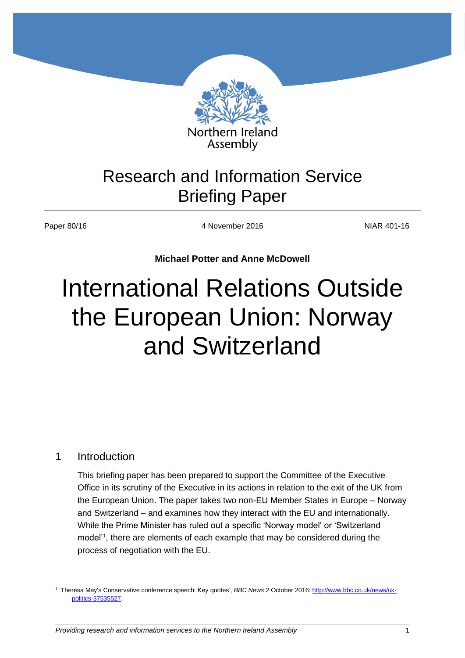

## Research and Information Service Briefing Paper

Paper 80/16 4 November 2016 NIAR 401-16

**Michael Potter and Anne McDowell**

# International Relations Outside the European Union: Norway and Switzerland

## 1 Introduction

 $\overline{a}$ 

This briefing paper has been prepared to support the Committee of the Executive Office in its scrutiny of the Executive in its actions in relation to the exit of the UK from the European Union. The paper takes two non-EU Member States in Europe – Norway and Switzerland – and examines how they interact with the EU and internationally. While the Prime Minister has ruled out a specific 'Norway model' or 'Switzerland model'<sup>1</sup>, there are elements of each example that may be considered during the process of negotiation with the EU.

<sup>1</sup> 'Theresa May's Conservative conference speech: Key quotes', *BBC News* 2 October 2016: [http://www.bbc.co.uk/news/uk](http://www.bbc.co.uk/news/uk-politics-37535527)[politics-37535527.](http://www.bbc.co.uk/news/uk-politics-37535527)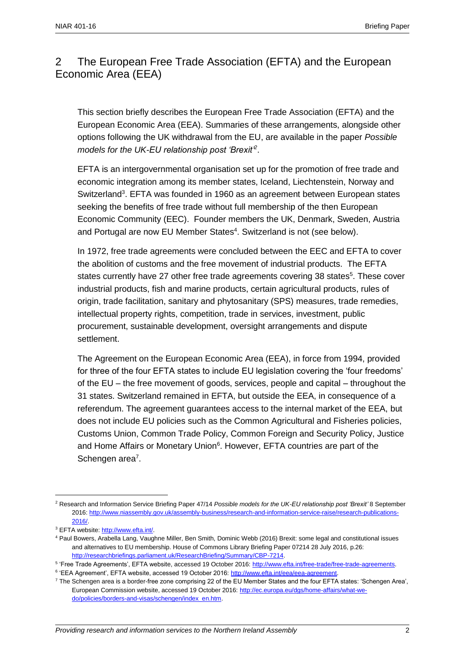## 2 The European Free Trade Association (EFTA) and the European Economic Area (EEA)

This section briefly describes the European Free Trade Association (EFTA) and the European Economic Area (EEA). Summaries of these arrangements, alongside other options following the UK withdrawal from the EU, are available in the paper *Possible models for the UK-EU relationship post 'Brexit'<sup>2</sup>* .

EFTA is an intergovernmental organisation set up for the promotion of free trade and economic integration among its member states, Iceland, Liechtenstein, Norway and Switzerland<sup>3</sup>. EFTA was founded in 1960 as an agreement between European states seeking the benefits of free trade without full membership of the then European Economic Community (EEC). Founder members the UK, Denmark, Sweden, Austria and Portugal are now EU Member States<sup>4</sup>. Switzerland is not (see below).

In 1972, free trade agreements were concluded between the EEC and EFTA to cover the abolition of customs and the free movement of industrial products. The EFTA states currently have 27 other free trade agreements covering 38 states<sup>5</sup>. These cover industrial products, fish and marine products, certain agricultural products, rules of origin, trade facilitation, sanitary and phytosanitary (SPS) measures, trade remedies, intellectual property rights, competition, trade in services, investment, public procurement, sustainable development, oversight arrangements and dispute settlement.

The Agreement on the European Economic Area (EEA), in force from 1994, provided for three of the four EFTA states to include EU legislation covering the 'four freedoms' of the EU – the free movement of goods, services, people and capital – throughout the 31 states. Switzerland remained in EFTA, but outside the EEA, in consequence of a referendum. The agreement guarantees access to the internal market of the EEA, but does not include EU policies such as the Common Agricultural and Fisheries policies, Customs Union, Common Trade Policy, Common Foreign and Security Policy, Justice and Home Affairs or Monetary Union<sup>6</sup>. However, EFTA countries are part of the Schengen area<sup>7</sup>.

<sup>2</sup> Research and Information Service Briefing Paper 47/14 *Possible models for the UK-EU relationship post 'Brexit'* 8 September 2016[: http://www.niassembly.gov.uk/assembly-business/research-and-information-service-raise/research-publications-](http://www.niassembly.gov.uk/assembly-business/research-and-information-service-raise/research-publications-2016/)[2016/.](http://www.niassembly.gov.uk/assembly-business/research-and-information-service-raise/research-publications-2016/)

<sup>&</sup>lt;sup>3</sup> EFTA website: [http://www.efta.int/.](http://www.efta.int/)

<sup>4</sup> Paul Bowers, Arabella Lang, Vaughne Miller, Ben Smith, Dominic Webb (2016) Brexit: some legal and constitutional issues and alternatives to EU membership. House of Commons Library Briefing Paper 07214 28 July 2016, p.26: [http://researchbriefings.parliament.uk/ResearchBriefing/Summary/CBP-7214.](http://researchbriefings.parliament.uk/ResearchBriefing/Summary/CBP-7214)

<sup>&</sup>lt;sup>5</sup> 'Free Trade Agreements', EFTA website, accessed 19 October 2016: http://www.efta.int/free-trade/free-trade-agreements.

<sup>&</sup>lt;sup>6</sup> 'EEA Agreement', EFTA website, accessed 19 October 2016[: http://www.efta.int/eea/eea-agreement.](http://www.efta.int/eea/eea-agreement)

<sup>7</sup> The Schengen area is a border-free zone comprising 22 of the EU Member States and the four EFTA states: 'Schengen Area', European Commission website, accessed 19 October 2016: [http://ec.europa.eu/dgs/home-affairs/what-we](http://ec.europa.eu/dgs/home-affairs/what-we-do/policies/borders-and-visas/schengen/index_en.htm)[do/policies/borders-and-visas/schengen/index\\_en.htm.](http://ec.europa.eu/dgs/home-affairs/what-we-do/policies/borders-and-visas/schengen/index_en.htm)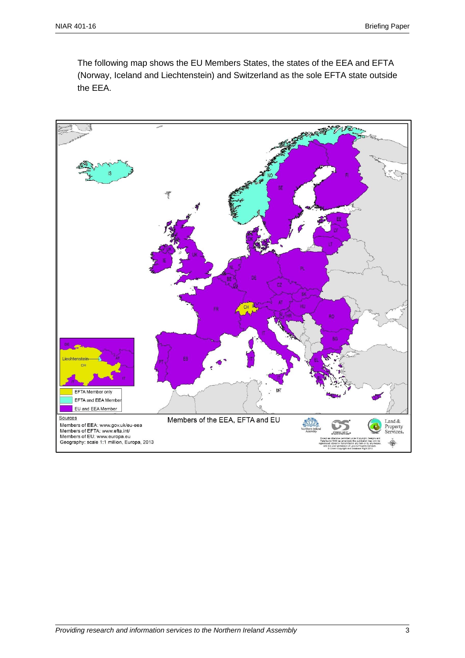The following map shows the EU Members States, the states of the EEA and EFTA (Norway, Iceland and Liechtenstein) and Switzerland as the sole EFTA state outside the EEA.

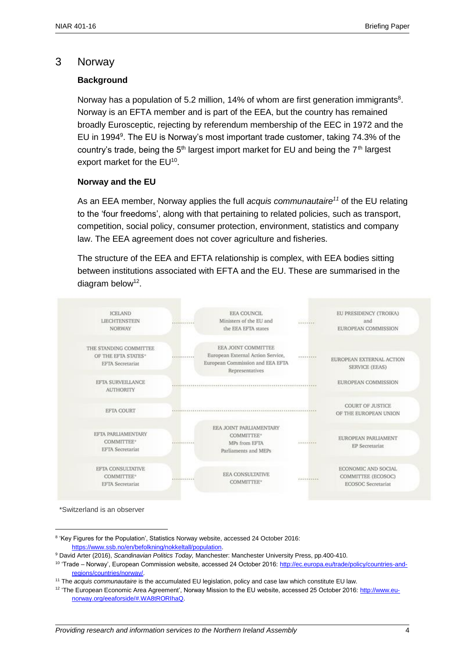## 3 Norway

## **Background**

Norway has a population of 5.2 million, 14% of whom are first generation immigrants $8$ . Norway is an EFTA member and is part of the EEA, but the country has remained broadly Eurosceptic, rejecting by referendum membership of the EEC in 1972 and the EU in 1994<sup>9</sup>. The EU is Norway's most important trade customer, taking 74.3% of the country's trade, being the 5<sup>th</sup> largest import market for EU and being the 7<sup>th</sup> largest export market for the  $EU^{10}$ .

#### **Norway and the EU**

As an EEA member, Norway applies the full *acquis communautaire<sup>11</sup>* of the EU relating to the 'four freedoms', along with that pertaining to related policies, such as transport, competition, social policy, consumer protection, environment, statistics and company law. The EEA agreement does not cover agriculture and fisheries.

The structure of the EEA and EFTA relationship is complex, with EEA bodies sitting between institutions associated with EFTA and the EU. These are summarised in the diagram below<sup>12</sup>.



\*Switzerland is an observer

<sup>&</sup>lt;sup>8</sup> 'Key Figures for the Population', Statistics Norway website, accessed 24 October 2016: [https://www.ssb.no/en/befolkning/nokkeltall/population.](https://www.ssb.no/en/befolkning/nokkeltall/population)

<sup>9</sup> David Arter (2016), *Scandinavian Politics Today,* Manchester: Manchester University Press, pp.400-410.

<sup>&</sup>lt;sup>10</sup> 'Trade – Norway', European Commission website, accessed 24 October 2016: [http://ec.europa.eu/trade/policy/countries-and](http://ec.europa.eu/trade/policy/countries-and-regions/countries/norway/)[regions/countries/norway/.](http://ec.europa.eu/trade/policy/countries-and-regions/countries/norway/)

<sup>11</sup> The *acquis communautaire* is the accumulated EU legislation, policy and case law which constitute EU law.

<sup>&</sup>lt;sup>12</sup> 'The European Economic Area Agreement', Norway Mission to the EU website, accessed 25 October 2016: [http://www.eu](http://www.eu-norway.org/eeaforside/#.WA8tRORIhaQ)[norway.org/eeaforside/#.WA8tRORIhaQ.](http://www.eu-norway.org/eeaforside/#.WA8tRORIhaQ)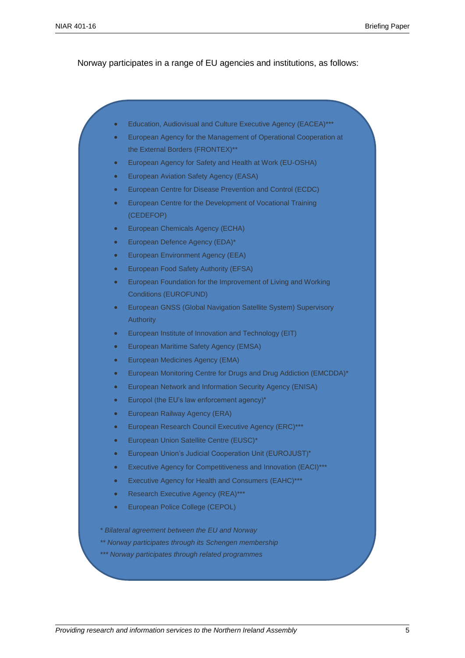Norway participates in a range of EU agencies and institutions, as follows:

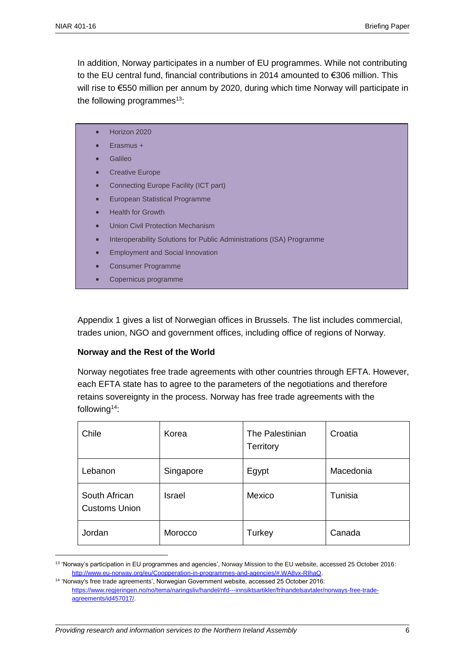$\overline{a}$ 

In addition, Norway participates in a number of EU programmes. While not contributing to the EU central fund, financial contributions in 2014 amounted to €306 million. This will rise to €550 million per annum by 2020, during which time Norway will participate in the following programmes $13$ :

- Horizon 2020
- Erasmus +
- Galileo
- **•** Creative Europe
- Connecting Europe Facility (ICT part)
- European Statistical Programme
- Health for Growth
- **•** Union Civil Protection Mechanism
- Interoperability Solutions for Public Administrations (ISA) Programme
- **Employment and Social Innovation**
- Consumer Programme
- Copernicus programme

Appendix 1 gives a list of Norwegian offices in Brussels. The list includes commercial, trades union, NGO and government offices, including office of regions of Norway.

#### **Norway and the Rest of the World**

Norway negotiates free trade agreements with other countries through EFTA. However, each EFTA state has to agree to the parameters of the negotiations and therefore retains sovereignty in the process. Norway has free trade agreements with the following<sup>14</sup>:

| Chile                                 | Korea     | The Palestinian<br><b>Territory</b> | Croatia   |
|---------------------------------------|-----------|-------------------------------------|-----------|
| Lebanon                               | Singapore | Egypt                               | Macedonia |
| South African<br><b>Customs Union</b> | Israel    | Mexico                              | Tunisia   |
| Jordan                                | Morocco   | Turkey                              | Canada    |

<sup>13</sup> 'Norway's participation in EU programmes and agencies', Norway Mission to the EU website, accessed 25 October 2016: [http://www.eu-norway.org/eu/Coopperation-in-programmes-and-agencies/#.WA8vx-RIhaQ.](http://www.eu-norway.org/eu/Coopperation-in-programmes-and-agencies/#.WA8vx-RIhaQ) 

<sup>14</sup> 'Norway's free trade agreements', Norwegian Government website, accessed 25 October 2016: [https://www.regjeringen.no/no/tema/naringsliv/handel/nfd---innsiktsartikler/frihandelsavtaler/norways-free-trade](https://www.regjeringen.no/no/tema/naringsliv/handel/nfd---innsiktsartikler/frihandelsavtaler/norways-free-trade-agreements/id457017/)[agreements/id457017/.](https://www.regjeringen.no/no/tema/naringsliv/handel/nfd---innsiktsartikler/frihandelsavtaler/norways-free-trade-agreements/id457017/)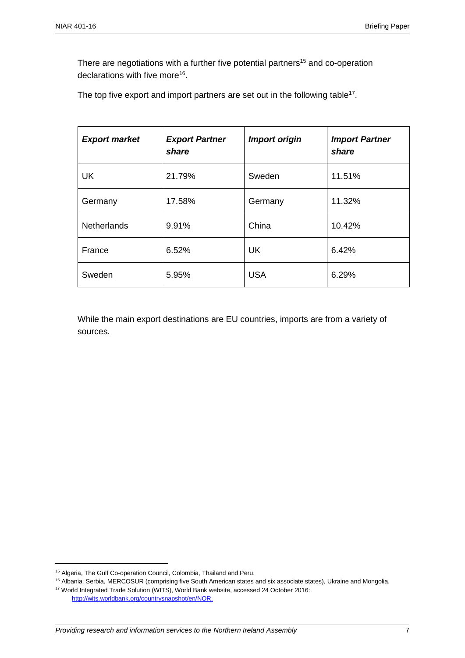There are negotiations with a further five potential partners<sup>15</sup> and co-operation declarations with five more<sup>16</sup>.

The top five export and import partners are set out in the following table<sup>17</sup>.

| <b>Export market</b> | <b>Export Partner</b><br>share | <b>Import origin</b> | <b>Import Partner</b><br>share |
|----------------------|--------------------------------|----------------------|--------------------------------|
| <b>UK</b>            | 21.79%                         | Sweden               | 11.51%                         |
| Germany              | 17.58%                         | Germany              | 11.32%                         |
| <b>Netherlands</b>   | 9.91%                          | China                | 10.42%                         |
| France               | 6.52%                          | <b>UK</b>            | 6.42%                          |
| Sweden               | 5.95%                          | <b>USA</b>           | 6.29%                          |

While the main export destinations are EU countries, imports are from a variety of sources.

<sup>15</sup> Algeria, The Gulf Co-operation Council, Colombia, Thailand and Peru.

<sup>16</sup> Albania, Serbia, MERCOSUR (comprising five South American states and six associate states), Ukraine and Mongolia.

<sup>17</sup> World Integrated Trade Solution (WITS), World Bank website, accessed 24 October 2016:

[http://wits.worldbank.org/countrysnapshot/en/NOR.](http://wits.worldbank.org/countrysnapshot/en/NOR)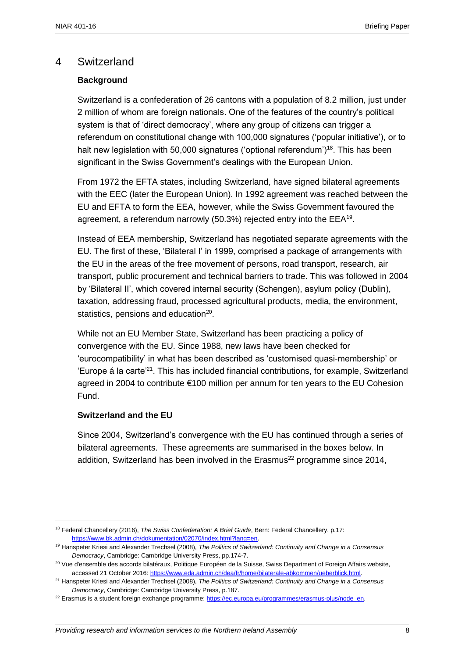## 4 Switzerland

## **Background**

Switzerland is a confederation of 26 cantons with a population of 8.2 million, just under 2 million of whom are foreign nationals. One of the features of the country's political system is that of 'direct democracy', where any group of citizens can trigger a referendum on constitutional change with 100,000 signatures ('popular initiative'), or to halt new legislation with 50,000 signatures ('optional referendum')<sup>18</sup>. This has been significant in the Swiss Government's dealings with the European Union.

From 1972 the EFTA states, including Switzerland, have signed bilateral agreements with the EEC (later the European Union). In 1992 agreement was reached between the EU and EFTA to form the EEA, however, while the Swiss Government favoured the agreement, a referendum narrowly (50.3%) rejected entry into the EEA<sup>19</sup>.

Instead of EEA membership, Switzerland has negotiated separate agreements with the EU. The first of these, 'Bilateral I' in 1999, comprised a package of arrangements with the EU in the areas of the free movement of persons, road transport, research, air transport, public procurement and technical barriers to trade. This was followed in 2004 by 'Bilateral II', which covered internal security (Schengen), asylum policy (Dublin), taxation, addressing fraud, processed agricultural products, media, the environment, statistics, pensions and education<sup>20</sup>.

While not an EU Member State, Switzerland has been practicing a policy of convergence with the EU. Since 1988, new laws have been checked for 'eurocompatibility' in what has been described as 'customised quasi-membership' or 'Europe á la carte<sup>21</sup>. This has included financial contributions, for example, Switzerland agreed in 2004 to contribute €100 million per annum for ten years to the EU Cohesion Fund.

#### **Switzerland and the EU**

 $\overline{a}$ 

Since 2004, Switzerland's convergence with the EU has continued through a series of bilateral agreements. These agreements are summarised in the boxes below. In addition. Switzerland has been involved in the Erasmus<sup>22</sup> programme since 2014,

<sup>18</sup> Federal Chancellery (2016), *The Swiss Confederation: A Brief Guide*, Bern: Federal Chancellery, p.17: [https://www.bk.admin.ch/dokumentation/02070/index.html?lang=en.](https://www.bk.admin.ch/dokumentation/02070/index.html?lang=en)

<sup>19</sup> Hanspeter Kriesi and Alexander Trechsel (2008), *The Politics of Switzerland: Continuity and Change in a Consensus Democracy*, Cambridge: Cambridge University Press, pp.174-7.

<sup>&</sup>lt;sup>20</sup> Vue d'ensemble des accords bilatéraux, Politique Européen de la Suisse, Swiss Department of Foreign Affairs website, accessed 21 October 2016: [https://www.eda.admin.ch/dea/fr/home/bilaterale-abkommen/ueberblick.html.](https://www.eda.admin.ch/dea/fr/home/bilaterale-abkommen/ueberblick.html)

<sup>21</sup> Hanspeter Kriesi and Alexander Trechsel (2008), *The Politics of Switzerland: Continuity and Change in a Consensus Democracy*, Cambridge: Cambridge University Press, p.187.

<sup>&</sup>lt;sup>22</sup> Erasmus is a student foreign exchange programme[: https://ec.europa.eu/programmes/erasmus-plus/node\\_en.](https://ec.europa.eu/programmes/erasmus-plus/node_en)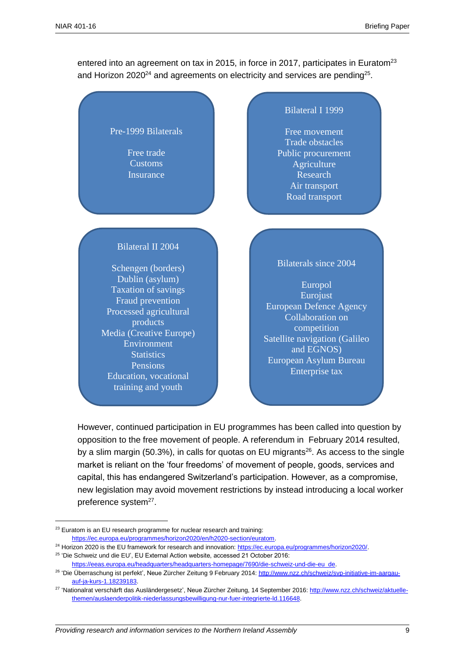entered into an agreement on tax in 2015, in force in 2017, participates in Euratom<sup>23</sup> and Horizon 2020<sup>24</sup> and agreements on electricity and services are pending<sup>25</sup>.

Pre-1999 Bilaterals

Free trade Customs Insurance

#### Bilateral I 1999

Free movement Trade obstacles Public procurement Agriculture Research Air transport Road transport

## Bilateral II 2004

Schengen (borders) Dublin (asylum) Taxation of savings Fraud prevention Processed agricultural products Media (Creative Europe) Environment **Statistics** Pensions Education, vocational training and youth

#### Bilaterals since 2004

Europol **Eurojust** European Defence Agency Collaboration on competition Satellite navigation (Galileo and EGNOS) European Asylum Bureau Enterprise tax

However, continued participation in EU programmes has been called into question by opposition to the free movement of people. A referendum in February 2014 resulted, by a slim margin (50.3%), in calls for quotas on EU migrants<sup>26</sup>. As access to the single market is reliant on the 'four freedoms' of movement of people, goods, services and capital, this has endangered Switzerland's participation. However, as a compromise, new legislation may avoid movement restrictions by instead introducing a local worker preference system<sup>27</sup>.

<sup>23</sup> Euratom is an EU research programme for nuclear research and training: [https://ec.europa.eu/programmes/horizon2020/en/h2020-section/euratom.](https://ec.europa.eu/programmes/horizon2020/en/h2020-section/euratom) 

<sup>&</sup>lt;sup>24</sup> Horizon 2020 is the EU framework for research and innovation: https://ec.europa.eu/programmes/horizon2020/.

<sup>25</sup> 'Die Schweiz und die EU', EU External Action website, accessed 21 October 2016: [https://eeas.europa.eu/headquarters/headquarters-homepage/7690/die-schweiz-und-die-eu\\_de.](https://eeas.europa.eu/headquarters/headquarters-homepage/7690/die-schweiz-und-die-eu_de) 

<sup>&</sup>lt;sup>26</sup> 'Die Überraschung ist perfekt', Neue Zürcher Zeitung 9 February 2014: <u>http://www.nzz.ch/schweiz/svp-initiative-im-aargau-</u> [auf-ja-kurs-1.18239183.](http://www.nzz.ch/schweiz/svp-initiative-im-aargau-auf-ja-kurs-1.18239183)

<sup>&</sup>lt;sup>27</sup> 'Nationalrat verschärft das Ausländergesetz', Neue Zürcher Zeitung, 14 September 2016[: http://www.nzz.ch/schweiz/aktuelle](http://www.nzz.ch/schweiz/aktuelle-themen/auslaenderpolitik-niederlassungsbewilligung-nur-fuer-integrierte-ld.116648)[themen/auslaenderpolitik-niederlassungsbewilligung-nur-fuer-integrierte-ld.116648.](http://www.nzz.ch/schweiz/aktuelle-themen/auslaenderpolitik-niederlassungsbewilligung-nur-fuer-integrierte-ld.116648)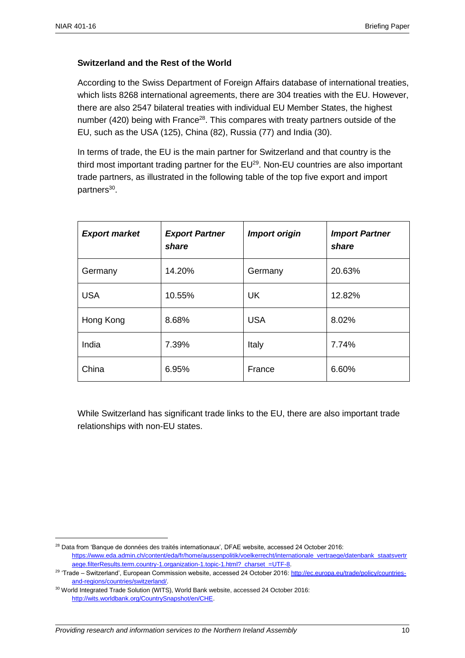$\overline{a}$ 

## **Switzerland and the Rest of the World**

According to the Swiss Department of Foreign Affairs database of international treaties, which lists 8268 international agreements, there are 304 treaties with the EU. However, there are also 2547 bilateral treaties with individual EU Member States, the highest number (420) being with France<sup>28</sup>. This compares with treaty partners outside of the EU, such as the USA (125), China (82), Russia (77) and India (30).

In terms of trade, the EU is the main partner for Switzerland and that country is the third most important trading partner for the  $EU^{29}$ . Non-EU countries are also important trade partners, as illustrated in the following table of the top five export and import partners<sup>30</sup>.

| <b>Export market</b> | <b>Export Partner</b><br>share | <b>Import origin</b> | <b>Import Partner</b><br>share |
|----------------------|--------------------------------|----------------------|--------------------------------|
| Germany              | 14.20%                         | Germany              | 20.63%                         |
| <b>USA</b>           | 10.55%                         | <b>UK</b>            | 12.82%                         |
| Hong Kong            | 8.68%                          | <b>USA</b>           | 8.02%                          |
| India                | 7.39%                          | Italy                | 7.74%                          |
| China                | 6.95%                          | France               | 6.60%                          |

While Switzerland has significant trade links to the EU, there are also important trade relationships with non-EU states.

<sup>&</sup>lt;sup>28</sup> Data from 'Banque de données des traités internationaux', DFAE website, accessed 24 October 2016; [https://www.eda.admin.ch/content/eda/fr/home/aussenpolitik/voelkerrecht/internationale\\_vertraege/datenbank\\_staatsvertr](https://www.eda.admin.ch/content/eda/fr/home/aussenpolitik/voelkerrecht/internationale_vertraege/datenbank_staatsvertraege.filterResults.term.country-1.organization-1.topic-1.html?_charset_=UTF-8) [aege.filterResults.term.country-1.organization-1.topic-1.html?\\_charset\\_=UTF-8.](https://www.eda.admin.ch/content/eda/fr/home/aussenpolitik/voelkerrecht/internationale_vertraege/datenbank_staatsvertraege.filterResults.term.country-1.organization-1.topic-1.html?_charset_=UTF-8)

<sup>&</sup>lt;sup>29</sup> 'Trade – Switzerland', European Commission website, accessed 24 October 2016[: http://ec.europa.eu/trade/policy/countries](http://ec.europa.eu/trade/policy/countries-and-regions/countries/switzerland/)[and-regions/countries/switzerland/.](http://ec.europa.eu/trade/policy/countries-and-regions/countries/switzerland/) 

<sup>30</sup> World Integrated Trade Solution (WITS), World Bank website, accessed 24 October 2016: [http://wits.worldbank.org/CountrySnapshot/en/CHE.](http://wits.worldbank.org/CountrySnapshot/en/CHE)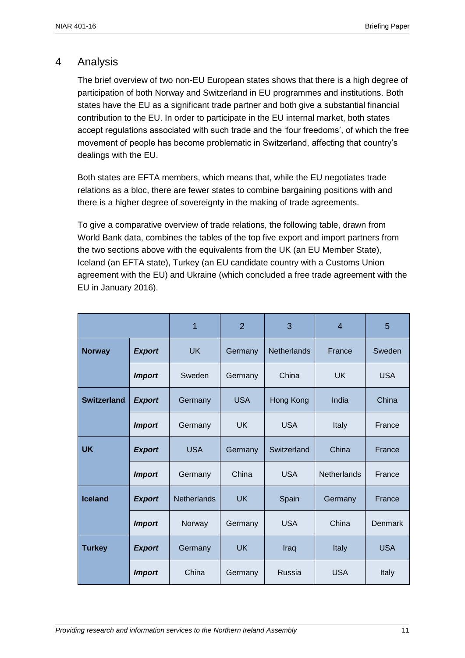## 4 Analysis

The brief overview of two non-EU European states shows that there is a high degree of participation of both Norway and Switzerland in EU programmes and institutions. Both states have the EU as a significant trade partner and both give a substantial financial contribution to the EU. In order to participate in the EU internal market, both states accept regulations associated with such trade and the 'four freedoms', of which the free movement of people has become problematic in Switzerland, affecting that country's dealings with the EU.

Both states are EFTA members, which means that, while the EU negotiates trade relations as a bloc, there are fewer states to combine bargaining positions with and there is a higher degree of sovereignty in the making of trade agreements.

To give a comparative overview of trade relations, the following table, drawn from World Bank data, combines the tables of the top five export and import partners from the two sections above with the equivalents from the UK (an EU Member State), Iceland (an EFTA state), Turkey (an EU candidate country with a Customs Union agreement with the EU) and Ukraine (which concluded a free trade agreement with the EU in January 2016).

|                    |               | 1                  | $\overline{2}$ | 3                  | $\overline{4}$     | 5              |
|--------------------|---------------|--------------------|----------------|--------------------|--------------------|----------------|
| <b>Norway</b>      | <b>Export</b> | <b>UK</b>          | Germany        | <b>Netherlands</b> | France             | Sweden         |
|                    | <b>Import</b> | Sweden             | Germany        | China              | <b>UK</b>          | <b>USA</b>     |
| <b>Switzerland</b> | <b>Export</b> | Germany            | <b>USA</b>     | Hong Kong          | India              | China          |
|                    | <b>Import</b> | Germany            | <b>UK</b>      | <b>USA</b>         | Italy              | France         |
| <b>UK</b>          | <b>Export</b> | <b>USA</b>         | Germany        | Switzerland        | China              | France         |
|                    | <b>Import</b> | Germany            | China          | <b>USA</b>         | <b>Netherlands</b> | France         |
| <b>Iceland</b>     | <b>Export</b> | <b>Netherlands</b> | UK.            | Spain              | Germany            | France         |
|                    | <b>Import</b> | Norway             | Germany        | <b>USA</b>         | China              | <b>Denmark</b> |
| <b>Turkey</b>      | <b>Export</b> | Germany            | UK.            | Iraq               | <b>Italy</b>       | <b>USA</b>     |
|                    | <b>Import</b> | China              | Germany        | Russia             | <b>USA</b>         | Italy          |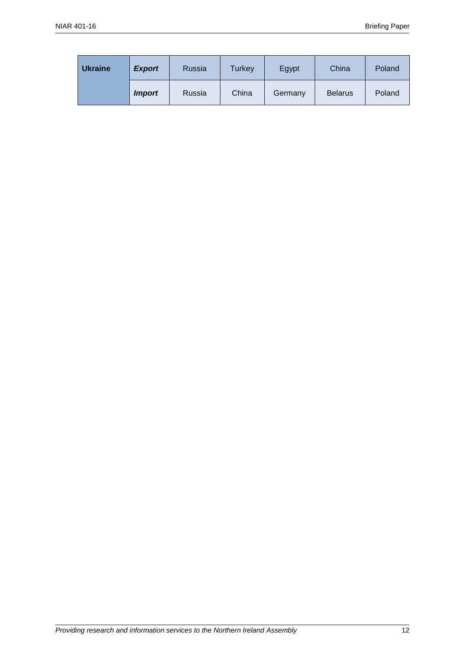| <b>Ukraine</b> | <b>Export</b> | Russia | Turkey | Egypt   | China          | Poland |
|----------------|---------------|--------|--------|---------|----------------|--------|
|                | <i>Import</i> | Russia | China  | Germany | <b>Belarus</b> | Poland |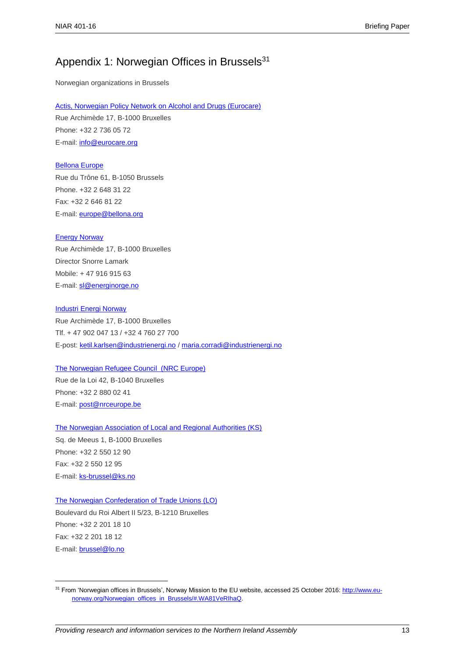## Appendix 1: Norwegian Offices in Brussels<sup>31</sup>

Norwegian organizations in Brussels

Actis, [Norwegian Policy Network on Alcohol and Drugs](http://www.europanytt.no/) (Eurocare)

Rue Archimède 17, B-1000 Bruxelles Phone: +32 2 736 05 72 E-mail: [info@eurocare.org](mailto:info@eurocare.org)

#### [Bellona Europe](http://www.bellona.org/)

Rue du Trône 61, B-1050 Brussels Phone. +32 2 648 31 22 Fax: +32 2 646 81 22 E-mail: **europe@bellona.org** 

#### [Energy Norway](http://www.energinorge.no/english)

Rue Archimède 17, B-1000 Bruxelles Director Snorre Lamark Mobile: + 47 916 915 63 E-mail: [sl@energinorge.no](mailto:sl@energinorge.no)

#### [Industri Energi Norway](http://www.industrienergi.no/)

Rue Archimède 17, B-1000 Bruxelles Tlf. + 47 902 047 13 / +32 4 760 27 700 E-post: [ketil.karlsen@industrienergi.no](mailto:ketil.karlsen@industrienergi.no) [/ maria.corradi@industrienergi.no](mailto:maria.corradi@industrienergi.no)

#### [The Norwegian Refugee Council](http://www.ks.no/templates/Start.aspx?id=32718) (NRC Europe)

Rue de la Loi 42, B-1040 Bruxelles Phone: +32 2 880 02 41 E-mail: [post@nrceurope.be](mailto:post@nrceurope.be)

#### [The Norwegian Association of Local and Regional Authorities \(KS\)](http://www.ks.no/tema/Internasjonalt/eueos/)

Sq. de Meeus 1, B-1000 Bruxelles Phone: +32 2 550 12 90 Fax: +32 2 550 12 95 E-mail: [ks-brussel@ks.no](mailto:ks-brussel@ks.no)

 $\overline{a}$ 

#### [The Norwegian Confederation of Trade Unions](http://www.lo.no/language/English/?tabid=894) (LO)

Boulevard du Roi Albert II 5/23, B-1210 Bruxelles Phone: +32 2 201 18 10 Fax: +32 2 201 18 12 E-mail: [brussel@lo.no](mailto:brussel@lo.no)

<sup>&</sup>lt;sup>31</sup> From 'Norwegian offices in Brussels', Norway Mission to the EU website, accessed 25 October 2016[: http://www.eu](http://www.eu-norway.org/Norwegian_offices_in_Brussels/#.WA81VeRIhaQ)[norway.org/Norwegian\\_offices\\_in\\_Brussels/#.WA81VeRIhaQ.](http://www.eu-norway.org/Norwegian_offices_in_Brussels/#.WA81VeRIhaQ)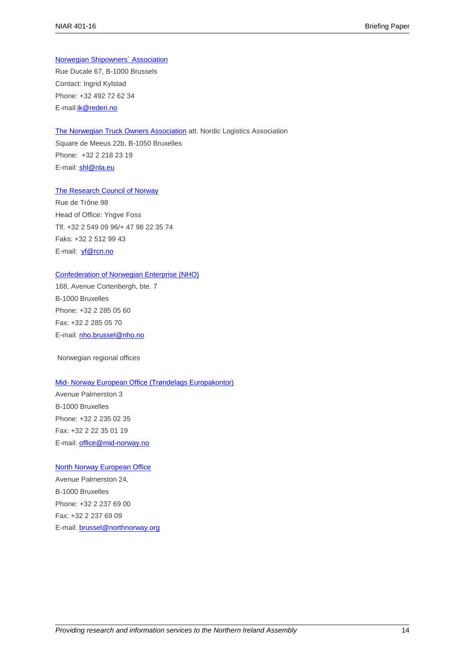#### [Norwegian Shipowners` Association](http://www.rederi.no/nrweb/english.nsf)

Rue Ducale 67, B-1000 Brussels Contact: Ingrid Kylstad Phone: +32 492 72 62 34 E-mail[:ik@rederi.no](mailto:ik@rederi.no)

#### [The Norwegian Truck Owners Association](http://www.lastebil.no/) att. Nordic Logistics Association

Square de Meeus 22b, B-1050 Bruxelles Phone: +32 2 218 23 19 E-mail: [shl@nla.eu](mailto:shl@nla.eu)

#### [The Research Council of Norway](http://www.rcn.no/en/Home+page/1177315753906)

Rue de Trône 98 Head of Office: Yngve Foss Tlf. +32 2 549 09 96/+ 47 98 22 35 74 Faks: +32 2 512 99 43 E-mail: vf@rcn.no

#### [Confederation of Norwegian Enterprise \(NHO\)](http://www.nho.no/english/)

168, Avenue Cortenbergh, bte. 7 B-1000 Bruxelles Phone: +32 2 285 05 60 Fax: +32 2 285 05 70 E-mail: [nho.brussel@nho.no](mailto:nho.brussel@nho.no)

Norwegian regional offices

#### Mid- [Norway European Office \(Trøndelags Europakontor\)](http://www.mid-norway.no/)

Avenue Palmerston 3 B-1000 Bruxelles Phone: +32 2 235 02 35 Fax: +32 2 22 35 01 19 E-mail: [office@mid-norway.no](mailto:office@mid-norway.no)

#### [North Norway European Office](http://www.northnorway.org/)

Avenue Palmerston 24, B-1000 Bruxelles Phone: +32 2 237 69 00 Fax: +32 2 237 69 09 E-mail: [brussel@northnorway.org](mailto:brussel@northnorway.org)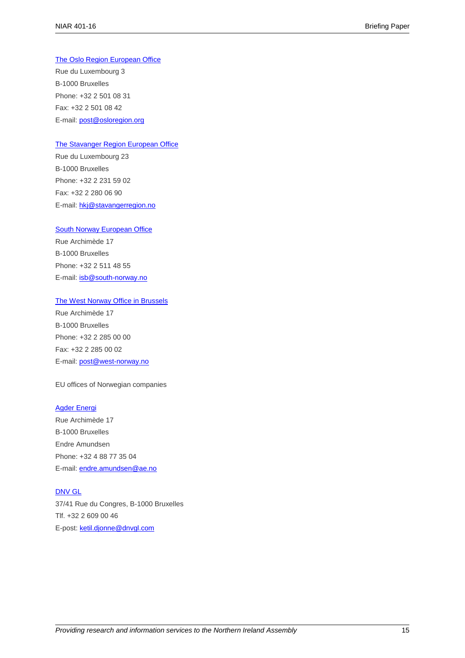#### [The Oslo Region European Office](http://www.osloregion.org/)

Rue du Luxembourg 3 B-1000 Bruxelles Phone: +32 2 501 08 31 Fax: +32 2 501 08 42 E-mail: [post@osloregion.org](mailto:post@osloregion.org)

#### [The Stavanger Region European Office](http://www.stavangerregion.no/)

Rue du Luxembourg 23 B-1000 Bruxelles Phone: +32 2 231 59 02 Fax: +32 2 280 06 90 E-mail: [hkj@stavangerregion.no](mailto:hkj@stavangerregion.no)

#### [South Norway European Office](http://www.south-norway.be/)

Rue Archimède 17 B-1000 Bruxelles Phone: +32 2 511 48 55 E-mail: [isb@south-norway.no](mailto:isb@south-norway.no)

#### [The West Norway Office in Brussels](http://www.west-norway.no/)

Rue Archimède 17 B-1000 Bruxelles Phone: +32 2 285 00 00 Fax: +32 2 285 00 02 E-mail: [post@west-norway.no](mailto:post@west-norway.no)

#### EU offices of Norwegian companies

#### [Agder Energi](http://www.ae.no/)

Rue Archimède 17 B-1000 Bruxelles Endre Amundsen Phone: +32 4 88 77 35 04 E-mail: [endre.amundsen@ae.no](mailto:endre.amundsen@ae.no)

#### [DNV GL](http://www.dnvgl.com/)

37/41 Rue du Congres, B-1000 Bruxelles Tlf. +32 2 609 00 46 E-post: [ketil.djonne@dnvgl.com](mailto:ketil.djonne@dnvgl.com)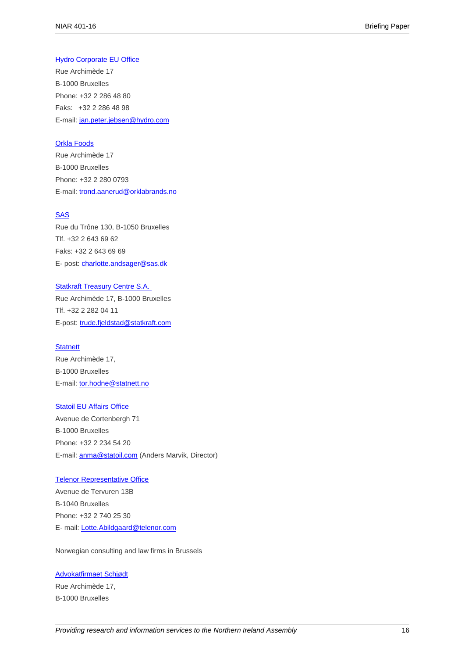#### [Hydro Corporate](http://www.hydro.com/en/) EU Office

Rue Archimède 17 B-1000 Bruxelles Phone: +32 2 286 48 80 Faks: +32 2 286 48 98 E-mail: [jan.peter.jebsen@hydro.com](mailto:jan.peter.jebsen@hydro.com)

#### [Orkla Foods](http://www.orklafoods.no/)

Rue Archimède 17 B-1000 Bruxelles Phone: +32 2 280 0793 E-mail: [trond.aanerud@orklabrands.no](mailto:trond.aanerud@orklabrands.no)

#### [SAS](http://www.sasgroup.net/SASGroup/default.asp)

Rue du Trône 130, B-1050 Bruxelles Tlf. +32 2 643 69 62 Faks: +32 2 643 69 69 E- post: [charlotte.andsager@sas.dk](mailto:charlotte.andsager@sas.dk)

[Statkraft Treasury Centre S.A.](http://www.statkraft.com/) Rue Archimède 17, B-1000 Bruxelles Tlf. +32 2 282 04 11 E-post: [trude.fjeldstad@statkraft.com](mailto:Trude.Fjeldstad@statkraft.com)

#### **[Statnett](http://www.statnett.no/)**

Rue Archimède 17, B-1000 Bruxelles E-mail: [tor.hodne@statnett.no](mailto:tor.hodne@statnett.no)

#### [Statoil EU Affairs Office](http://www.statoil.com/no/Pages/default.aspx)

Avenue de Cortenbergh 71 B-1000 Bruxelles Phone: +32 2 234 54 20 E-mail: [anma@statoil.com](mailto:anma@statoil.com) (Anders Marvik, Director)

#### **Telenor Representative Office**

Avenue de Tervuren 13B B-1040 Bruxelles Phone: +32 2 740 25 30 E- mail: [Lotte.Abildgaard@telenor.com](mailto:Lotte.Abildgaard@telenor.com)

Norwegian consulting and law firms in Brussels

#### [Advokatfirmaet Schjødt](http://www.schjodt.no/)

Rue Archimède 17, B-1000 Bruxelles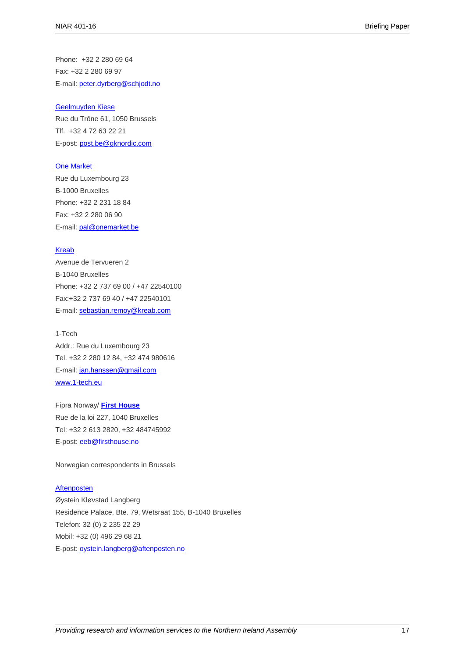Phone: +32 2 280 69 64 Fax: +32 2 280 69 97 E-mail: [peter.dyrberg@schjodt.no](mailto:peter.dyrberg@schjodt.no)

#### [Geelmuyden Kiese](http://gknordic.com/no/gkbrussels/)

Rue du Trône 61, 1050 Brussels Tlf. +32 4 72 63 22 21 E-post: [post.be@gknordic.com](mailto:post.be@gknordic.com)

#### [One Market](http://www.one-market.org/?lang=en)

Rue du Luxembourg 23 B-1000 Bruxelles Phone: +32 2 231 18 84 Fax: +32 2 280 06 90 E-mail: [pal@onemarket.be](mailto:pal@onemarket.be)

#### [Kreab](http://www.kreab.com/)

Avenue de Tervueren 2 B-1040 Bruxelles Phone: +32 2 737 69 00 / +47 22540100 Fax:+32 2 737 69 40 / +47 22540101 E-mail: [sebastian.remoy@kreab.com](mailto:sebastian.remoy@kreab.com)

## 1-Tech

Addr.: Rue du Luxembourg 23 Tel. +32 2 280 12 84, +32 474 980616 E-mail: [jan.hanssen@gmail.com](mailto:jan.hanssen@gmail.com) [www.1-tech.eu](http://www.1-tech.eu/)

Fipra Norway/ **[First House](http://www.firsthouse.no/)** Rue de la loi 227, 1040 Bruxelles Tel: +32 2 613 2820, +32 484745992 E-post: [eeb@firsthouse.no](mailto:eeb@firsthouse.no)

Norwegian correspondents in Brussels

#### [Aftenposten](http://www.aftenposten.no/)

Øystein Kløvstad Langberg Residence Palace, Bte. 79, Wetsraat 155, B-1040 Bruxelles Telefon: 32 (0) 2 235 22 29 Mobil: +32 (0) 496 29 68 21 E-post: [oystein.langberg@aftenposten.no](mailto:oystein.langberg@aftenposten.no)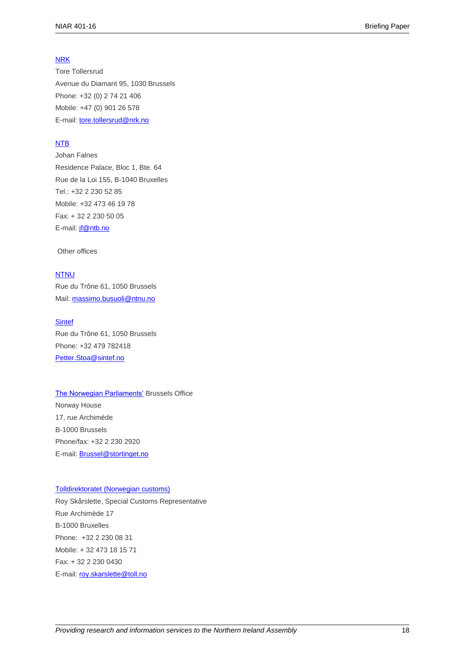#### [NRK](http://www.nrk.no/)

Tore Tollersrud Avenue du Diamant 95, 1030 Brussels Phone: +32 (0) 2 74 21 406 Mobile: +47 (0) 901 26 578 E-mail: [tore.tollersrud@nrk.no](mailto:tore.tollersrud@nrk.no)

#### [NTB](http://www.ntb.no/)

Johan Falnes Residence Palace, Bloc 1, Bte. 64 Rue de la Loi 155, B-1040 Bruxelles Tel.: +32 2 230 52 85 Mobile: +32 473 46 19 78 Fax: + 32 2 230 50 05 E-mail: [jf@ntb.no](mailto:jf@ntb.no)

Other offices

#### [NTNU](http://www.ntnu.no/)

Rue du Trône 61, 1050 Brussels Mail: [massimo.busuoli@ntnu.no](mailto:massimo.busuoli@ntnu.no)

#### **[Sintef](http://www.sintef.no/)**

Rue du Trône 61, 1050 Brussels Phone: +32 479 782418 [Petter.Stoa@sintef.no](mailto:Petter.Stoa@sintef.no)

[The Norwegian Parliaments'](http://www.strotinget.no/) Brussels Office Norway House 17, rue Archimède B-1000 Brussels Phone/fax: +32 2 230 2920 E-mail: [Brussel@stortinget.no](mailto:Brussel@stortinget.no)

#### [Tolldirektoratet \(Norwegian customs\)](http://www.toll.no/default.aspx?id=3&epslanguage=EN)

Roy Skårslette, Special Customs Representative Rue Archimède 17 B-1000 Bruxelles Phone: +32 2 230 08 31 Mobile: + 32 473 18 15 71 Fax: + 32 2 230 0430 E-mail: [roy.skarslette@toll.no](mailto:roy.skarslette@toll.no)